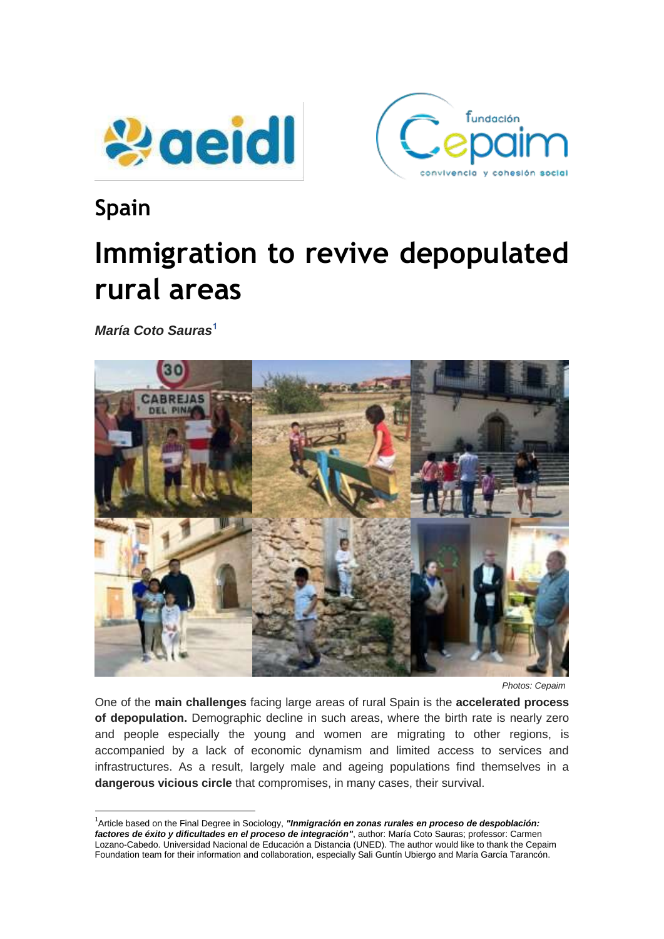



# **Spain**

 $\overline{a}$ 

# **Immigration to revive depopulated rural areas**

*María Coto Sauras***<sup>1</sup>**



 *Photos: Cepaim*

One of the **main challenges** facing large areas of rural Spain is the **accelerated process of depopulation.** Demographic decline in such areas, where the birth rate is nearly zero and people especially the young and women are migrating to other regions, is accompanied by a lack of economic dynamism and limited access to services and infrastructures. As a result, largely male and ageing populations find themselves in a **dangerous vicious circle** that compromises, in many cases, their survival.

<sup>&</sup>lt;sup>1</sup>Article based on the Final Degree in Sociology, "Inmigración en zonas rurales en proceso de despoblación: *factores de éxito y dificultades en el proceso de integración"*, author: María Coto Sauras; professor: Carmen Lozano-Cabedo. Universidad Nacional de Educación a Distancia (UNED). The author would like to thank the Cepaim Foundation team for their information and collaboration, especially Sali Guntín Ubiergo and María García Tarancón.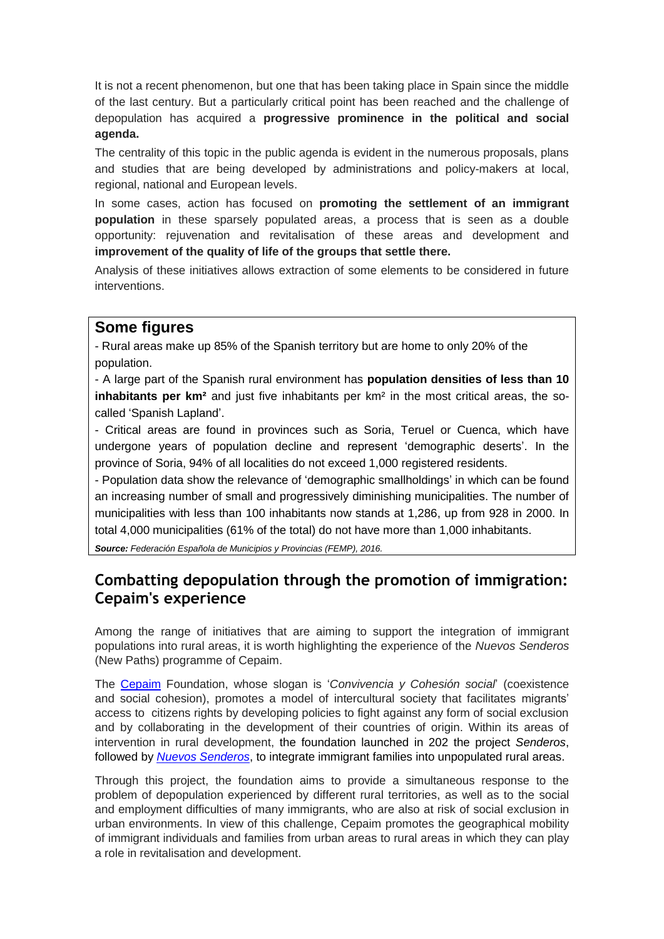It is not a recent phenomenon, but one that has been taking place in Spain since the middle of the last century. But a particularly critical point has been reached and the challenge of depopulation has acquired a **progressive prominence in the political and social agenda.**

The centrality of this topic in the public agenda is evident in the numerous proposals, plans and studies that are being developed by administrations and policy-makers at local, regional, national and European levels.

In some cases, action has focused on **promoting the settlement of an immigrant population** in these sparsely populated areas, a process that is seen as a double opportunity: rejuvenation and revitalisation of these areas and development and **improvement of the quality of life of the groups that settle there.** 

Analysis of these initiatives allows extraction of some elements to be considered in future interventions.

#### **Some figures**

- Rural areas make up 85% of the Spanish territory but are home to only 20% of the population.

- A large part of the Spanish rural environment has **population densities of less than 10 inhabitants per km²** and just five inhabitants per km² in the most critical areas, the socalled 'Spanish Lapland'.

- Critical areas are found in provinces such as Soria, Teruel or Cuenca, which have undergone years of population decline and represent 'demographic deserts'. In the province of Soria, 94% of all localities do not exceed 1,000 registered residents.

- Population data show the relevance of 'demographic smallholdings' in which can be found an increasing number of small and progressively diminishing municipalities. The number of municipalities with less than 100 inhabitants now stands at 1,286, up from 928 in 2000. In total 4,000 municipalities (61% of the total) do not have more than 1,000 inhabitants.

*Source: Federación Española de Municipios y Provincias (FEMP), 2016.*

# **Combatting depopulation through the promotion of immigration: Cepaim's experience**

Among the range of initiatives that are aiming to support the integration of immigrant populations into rural areas, it is worth highlighting the experience of the *Nuevos Senderos* (New Paths) programme of Cepaim.

The [Cepaim](http://cepaim.org/fundacion/) Foundation, whose slogan is '*Convivencia y Cohesión social*' (coexistence and social cohesion), promotes a model of intercultural society that facilitates migrants' access to citizens rights by developing policies to fight against any form of social exclusion and by collaborating in the development of their countries of origin. Within its areas of intervention in rural development, the foundation launched in 202 the project *Senderos*, followed by *[Nuevos Senderos](http://cepaim.org/que-hacemos-convivencia-social/desarrollo-rural/nuevos-senderos-empleo-rural/)*, to integrate immigrant families into unpopulated rural areas.

Through this project, the foundation aims to provide a simultaneous response to the problem of depopulation experienced by different rural territories, as well as to the social and employment difficulties of many immigrants, who are also at risk of social exclusion in urban environments. In view of this challenge, Cepaim promotes the geographical mobility of immigrant individuals and families from urban areas to rural areas in which they can play a role in revitalisation and development.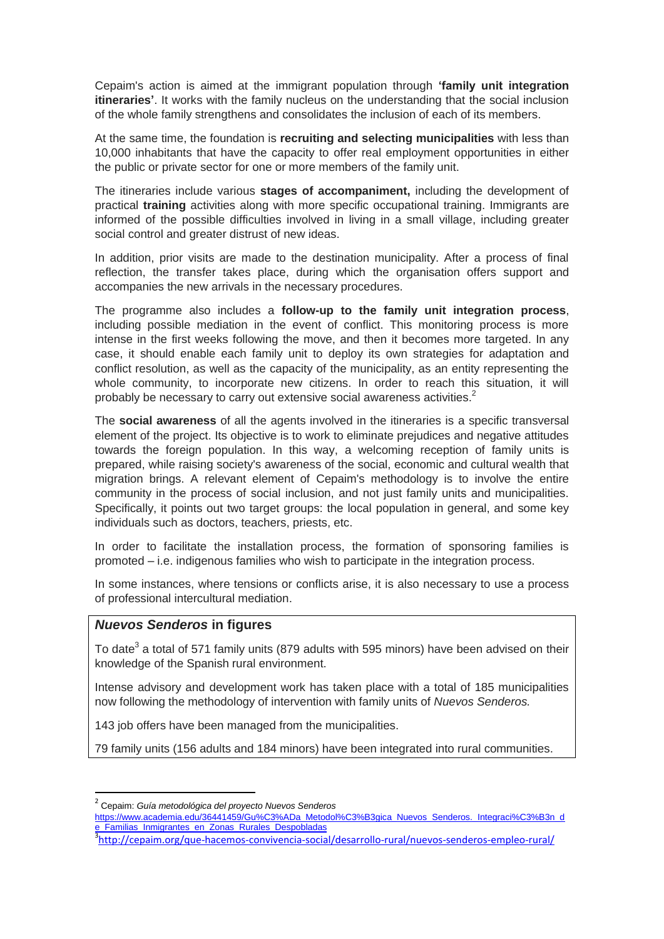Cepaim's action is aimed at the immigrant population through **'family unit integration itineraries'**. It works with the family nucleus on the understanding that the social inclusion of the whole family strengthens and consolidates the inclusion of each of its members.

At the same time, the foundation is **recruiting and selecting municipalities** with less than 10,000 inhabitants that have the capacity to offer real employment opportunities in either the public or private sector for one or more members of the family unit.

The itineraries include various **stages of accompaniment,** including the development of practical **training** activities along with more specific occupational training. Immigrants are informed of the possible difficulties involved in living in a small village, including greater social control and greater distrust of new ideas.

In addition, prior visits are made to the destination municipality. After a process of final reflection, the transfer takes place, during which the organisation offers support and accompanies the new arrivals in the necessary procedures.

The programme also includes a **follow-up to the family unit integration process**, including possible mediation in the event of conflict. This monitoring process is more intense in the first weeks following the move, and then it becomes more targeted. In any case, it should enable each family unit to deploy its own strategies for adaptation and conflict resolution, as well as the capacity of the municipality, as an entity representing the whole community, to incorporate new citizens. In order to reach this situation, it will probably be necessary to carry out extensive social awareness activities. $2^2$ 

The **social awareness** of all the agents involved in the itineraries is a specific transversal element of the project. Its objective is to work to eliminate prejudices and negative attitudes towards the foreign population. In this way, a welcoming reception of family units is prepared, while raising society's awareness of the social, economic and cultural wealth that migration brings. A relevant element of Cepaim's methodology is to involve the entire community in the process of social inclusion, and not just family units and municipalities. Specifically, it points out two target groups: the local population in general, and some key individuals such as doctors, teachers, priests, etc.

In order to facilitate the installation process, the formation of sponsoring families is promoted – i.e. indigenous families who wish to participate in the integration process.

In some instances, where tensions or conflicts arise, it is also necessary to use a process of professional intercultural mediation.

#### *Nuevos Senderos* **in figures**

To date<sup>3</sup> a total of 571 family units (879 adults with 595 minors) have been advised on their knowledge of the Spanish rural environment.

Intense advisory and development work has taken place with a total of 185 municipalities now following the methodology of intervention with family units of *Nuevos Senderos.*

143 job offers have been managed from the municipalities.

79 family units (156 adults and 184 minors) have been integrated into rural communities.

**.** 

<sup>3</sup><http://cepaim.org/que-hacemos-convivencia-social/desarrollo-rural/nuevos-senderos-empleo-rural/>

<sup>2</sup> Cepaim: *Guía metodológica del proyecto Nuevos Senderos*

[https://www.academia.edu/36441459/Gu%C3%ADa\\_Metodol%C3%B3gica\\_Nuevos\\_Senderos.\\_Integraci%C3%B3n\\_d](https://www.academia.edu/36441459/Gu%C3%ADa_Metodol%C3%B3gica_Nuevos_Senderos._Integraci%C3%B3n_de_Familias_Inmigrantes_en_Zonas_Rurales_Despobladas) [e\\_Familias\\_Inmigrantes\\_en\\_Zonas\\_Rurales\\_Despobladas](https://www.academia.edu/36441459/Gu%C3%ADa_Metodol%C3%B3gica_Nuevos_Senderos._Integraci%C3%B3n_de_Familias_Inmigrantes_en_Zonas_Rurales_Despobladas)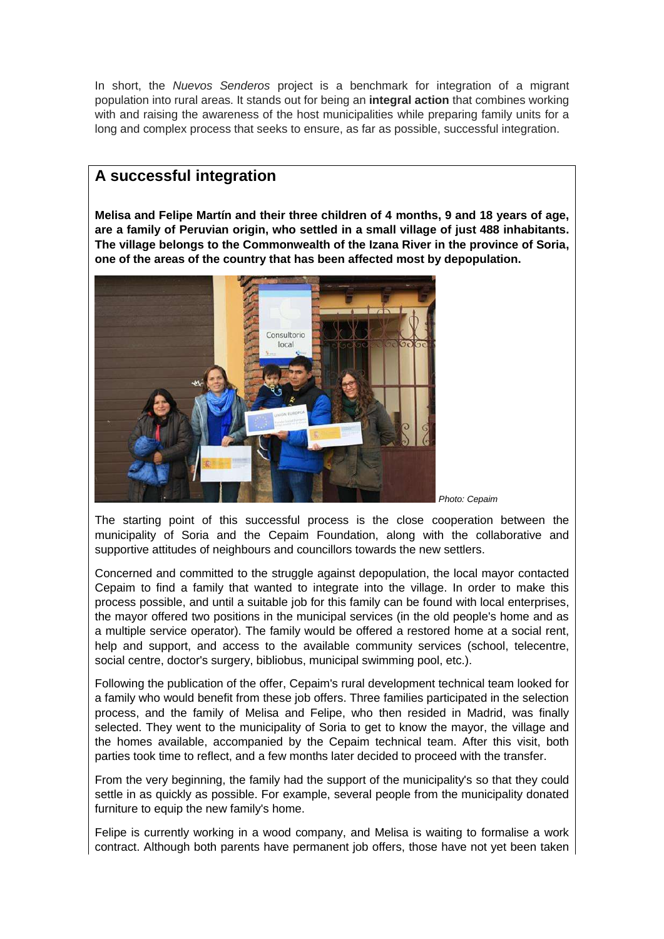In short, the *Nuevos Senderos* project is a benchmark for integration of a migrant population into rural areas. It stands out for being an **integral action** that combines working with and raising the awareness of the host municipalities while preparing family units for a long and complex process that seeks to ensure, as far as possible, successful integration.

# **A successful integration**

**Melisa and Felipe Martín and their three children of 4 months, 9 and 18 years of age, are a family of Peruvian origin, who settled in a small village of just 488 inhabitants. The village belongs to the Commonwealth of the Izana River in the province of Soria, one of the areas of the country that has been affected most by depopulation.**



The starting point of this successful process is the close cooperation between the municipality of Soria and the Cepaim Foundation, along with the collaborative and supportive attitudes of neighbours and councillors towards the new settlers.

Concerned and committed to the struggle against depopulation, the local mayor contacted Cepaim to find a family that wanted to integrate into the village. In order to make this process possible, and until a suitable job for this family can be found with local enterprises, the mayor offered two positions in the municipal services (in the old people's home and as a multiple service operator). The family would be offered a restored home at a social rent, help and support, and access to the available community services (school, telecentre, social centre, doctor's surgery, bibliobus, municipal swimming pool, etc.).

Following the publication of the offer, Cepaim's rural development technical team looked for a family who would benefit from these job offers. Three families participated in the selection process, and the family of Melisa and Felipe, who then resided in Madrid, was finally selected. They went to the municipality of Soria to get to know the mayor, the village and the homes available, accompanied by the Cepaim technical team. After this visit, both parties took time to reflect, and a few months later decided to proceed with the transfer.

From the very beginning, the family had the support of the municipality's so that they could settle in as quickly as possible. For example, several people from the municipality donated furniture to equip the new family's home.

Felipe is currently working in a wood company, and Melisa is waiting to formalise a work contract. Although both parents have permanent job offers, those have not yet been taken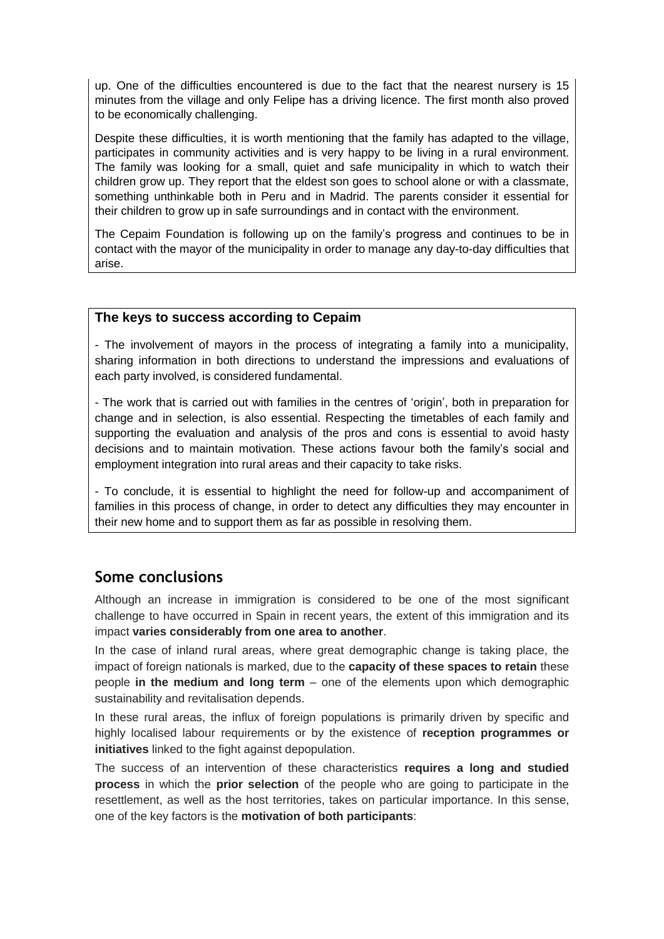up. One of the difficulties encountered is due to the fact that the nearest nursery is 15 minutes from the village and only Felipe has a driving licence. The first month also proved to be economically challenging.

Despite these difficulties, it is worth mentioning that the family has adapted to the village, participates in community activities and is very happy to be living in a rural environment. The family was looking for a small, quiet and safe municipality in which to watch their children grow up. They report that the eldest son goes to school alone or with a classmate, something unthinkable both in Peru and in Madrid. The parents consider it essential for their children to grow up in safe surroundings and in contact with the environment.

The Cepaim Foundation is following up on the family's progress and continues to be in contact with the mayor of the municipality in order to manage any day-to-day difficulties that arise.

#### **The keys to success according to Cepaim**

- The involvement of mayors in the process of integrating a family into a municipality, sharing information in both directions to understand the impressions and evaluations of each party involved, is considered fundamental.

- The work that is carried out with families in the centres of 'origin', both in preparation for change and in selection, is also essential. Respecting the timetables of each family and supporting the evaluation and analysis of the pros and cons is essential to avoid hasty decisions and to maintain motivation. These actions favour both the family's social and employment integration into rural areas and their capacity to take risks.

- To conclude, it is essential to highlight the need for follow-up and accompaniment of families in this process of change, in order to detect any difficulties they may encounter in their new home and to support them as far as possible in resolving them.

## **Some conclusions**

Although an increase in immigration is considered to be one of the most significant challenge to have occurred in Spain in recent years, the extent of this immigration and its impact **varies considerably from one area to another**.

In the case of inland rural areas, where great demographic change is taking place, the impact of foreign nationals is marked, due to the **capacity of these spaces to retain** these people **in the medium and long term** – one of the elements upon which demographic sustainability and revitalisation depends.

In these rural areas, the influx of foreign populations is primarily driven by specific and highly localised labour requirements or by the existence of **reception programmes or initiatives** linked to the fight against depopulation.

The success of an intervention of these characteristics **requires a long and studied process** in which the **prior selection** of the people who are going to participate in the resettlement, as well as the host territories, takes on particular importance. In this sense, one of the key factors is the **motivation of both participants**: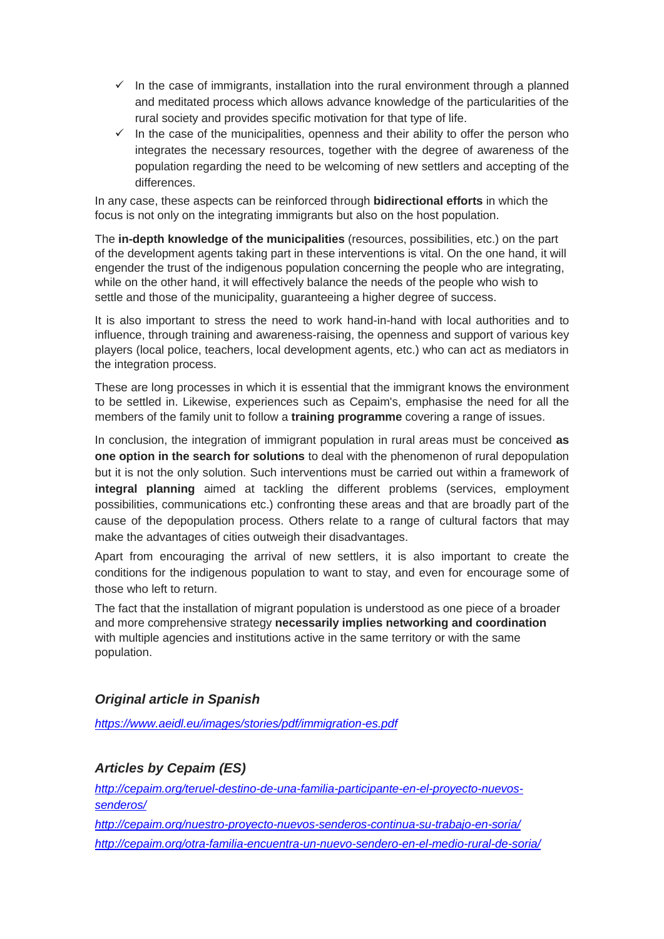- $\checkmark$  In the case of immigrants, installation into the rural environment through a planned and meditated process which allows advance knowledge of the particularities of the rural society and provides specific motivation for that type of life.
- $\checkmark$  In the case of the municipalities, openness and their ability to offer the person who integrates the necessary resources, together with the degree of awareness of the population regarding the need to be welcoming of new settlers and accepting of the differences.

In any case, these aspects can be reinforced through **bidirectional efforts** in which the focus is not only on the integrating immigrants but also on the host population.

The **in-depth knowledge of the municipalities** (resources, possibilities, etc.) on the part of the development agents taking part in these interventions is vital. On the one hand, it will engender the trust of the indigenous population concerning the people who are integrating, while on the other hand, it will effectively balance the needs of the people who wish to settle and those of the municipality, guaranteeing a higher degree of success.

It is also important to stress the need to work hand-in-hand with local authorities and to influence, through training and awareness-raising, the openness and support of various key players (local police, teachers, local development agents, etc.) who can act as mediators in the integration process.

These are long processes in which it is essential that the immigrant knows the environment to be settled in. Likewise, experiences such as Cepaim's, emphasise the need for all the members of the family unit to follow a **training programme** covering a range of issues.

In conclusion, the integration of immigrant population in rural areas must be conceived **as one option in the search for solutions** to deal with the phenomenon of rural depopulation but it is not the only solution. Such interventions must be carried out within a framework of **integral planning** aimed at tackling the different problems (services, employment possibilities, communications etc.) confronting these areas and that are broadly part of the cause of the depopulation process. Others relate to a range of cultural factors that may make the advantages of cities outweigh their disadvantages.

Apart from encouraging the arrival of new settlers, it is also important to create the conditions for the indigenous population to want to stay, and even for encourage some of those who left to return.

The fact that the installation of migrant population is understood as one piece of a broader and more comprehensive strategy **necessarily implies networking and coordination** with multiple agencies and institutions active in the same territory or with the same population.

#### *Original article in Spanish*

*<https://www.aeidl.eu/images/stories/pdf/immigration-es.pdf>*

#### *Articles by Cepaim (ES)*

*[http://cepaim.org/teruel-destino-de-una-familia-participante-en-el-proyecto-nuevos](http://cepaim.org/teruel-destino-de-una-familia-participante-en-el-proyecto-nuevos-senderos/)[senderos/](http://cepaim.org/teruel-destino-de-una-familia-participante-en-el-proyecto-nuevos-senderos/)*

*<http://cepaim.org/nuestro-proyecto-nuevos-senderos-continua-su-trabajo-en-soria/> <http://cepaim.org/otra-familia-encuentra-un-nuevo-sendero-en-el-medio-rural-de-soria/>*